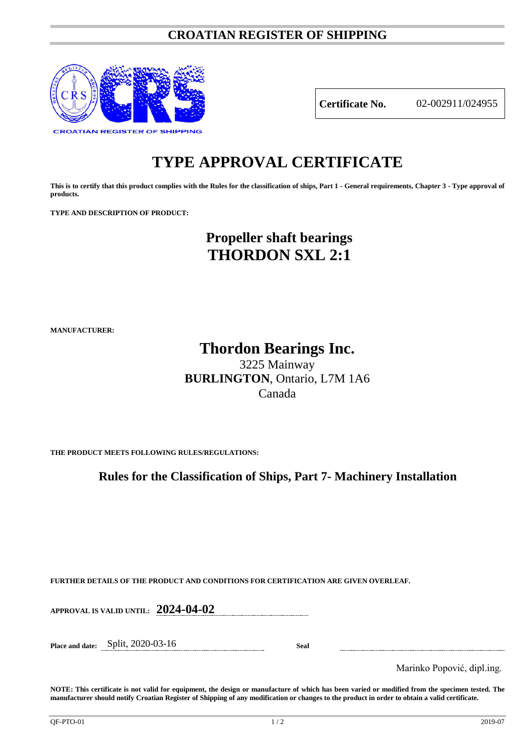### **CROATIAN REGISTER OF SHIPPING**



**Certificate No.** 02-002911/024955

## **TYPE APPROVAL CERTIFICATE**

**This is to certify that this product complies with the Rules for the classification of ships, Part 1 - General requirements, Chapter 3 - Type approval of products.**

**TYPE AND DESCRIPTION OF PRODUCT:** 

## **Propeller shaft bearings THORDON SXL 2:1**

**MANUFACTURER:**

# **Thordon Bearings Inc.**

3225 Mainway **BURLINGTON**, Ontario, L7M 1A6 Canada

**THE PRODUCT MEETS FOLLOWING RULES/REGULATIONS:**

**Rules for the Classification of Ships, Part 7- Machinery Installation**

**FURTHER DETAILS OF THE PRODUCT AND CONDITIONS FOR CERTIFICATION ARE GIVEN OVERLEAF.**

**APPROVAL IS VALID UNTIL: 2024-04-02**

**Place and date:** Split, 2020-03-16 **Seal**

Marinko Popović, dipl.ing.

**NOTE: This certificate is not valid for equipment, the design or manufacture of which has been varied or modified from the specimen tested. The manufacturer should notify Croatian Register of Shipping of any modification or changes to the product in order to obtain a valid certificate.**